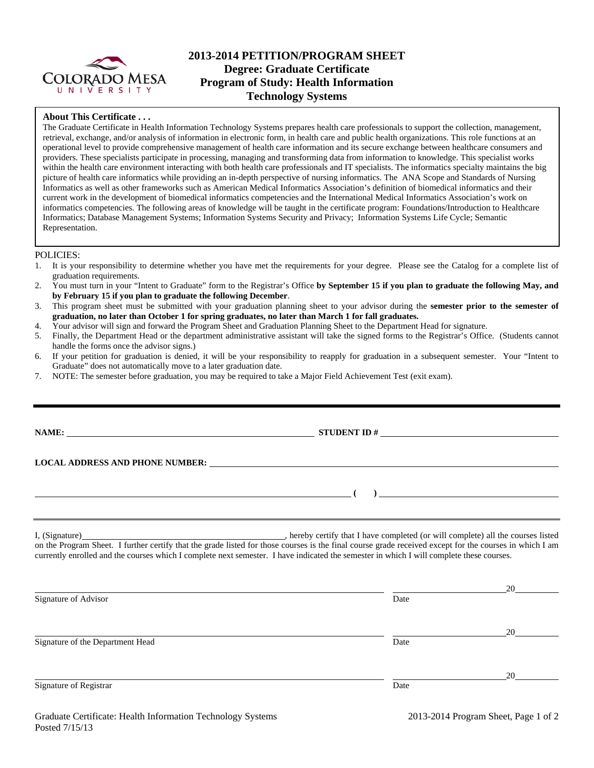

# **2013-2014 PETITION/PROGRAM SHEET Degree: Graduate Certificate Program of Study: Health Information Technology Systems**

### **About This Certificate . . .**

The Graduate Certificate in Health Information Technology Systems prepares health care professionals to support the collection, management, retrieval, exchange, and/or analysis of information in electronic form, in health care and public health organizations. This role functions at an operational level to provide comprehensive management of health care information and its secure exchange between healthcare consumers and providers. These specialists participate in processing, managing and transforming data from information to knowledge. This specialist works within the health care environment interacting with both health care professionals and IT specialists. The informatics specialty maintains the big picture of health care informatics while providing an in-depth perspective of nursing informatics. The ANA Scope and Standards of Nursing Informatics as well as other frameworks such as American Medical Informatics Association's definition of biomedical informatics and their current work in the development of biomedical informatics competencies and the International Medical Informatics Association's work on informatics competencies. The following areas of knowledge will be taught in the certificate program: Foundations/Introduction to Healthcare Informatics; Database Management Systems; Information Systems Security and Privacy; Information Systems Life Cycle; Semantic Representation.

#### POLICIES:

- 1. It is your responsibility to determine whether you have met the requirements for your degree. Please see the Catalog for a complete list of graduation requirements.
- 2. You must turn in your "Intent to Graduate" form to the Registrar's Office **by September 15 if you plan to graduate the following May, and by February 15 if you plan to graduate the following December**.
- 3. This program sheet must be submitted with your graduation planning sheet to your advisor during the **semester prior to the semester of graduation, no later than October 1 for spring graduates, no later than March 1 for fall graduates.**
- 4. Your advisor will sign and forward the Program Sheet and Graduation Planning Sheet to the Department Head for signature.
- 5. Finally, the Department Head or the department administrative assistant will take the signed forms to the Registrar's Office. (Students cannot handle the forms once the advisor signs.)
- 6. If your petition for graduation is denied, it will be your responsibility to reapply for graduation in a subsequent semester. Your "Intent to Graduate" does not automatically move to a later graduation date.
- 7. NOTE: The semester before graduation, you may be required to take a Major Field Achievement Test (exit exam).

| <b>NAME:</b><br><u> 1989 - Johann Stoff, deutscher Stoffen und der Stoffen und der Stoffen und der Stoffen und der Stoffen und der</u> |                                                                                                                                                                                                                                                                                                           |  |
|----------------------------------------------------------------------------------------------------------------------------------------|-----------------------------------------------------------------------------------------------------------------------------------------------------------------------------------------------------------------------------------------------------------------------------------------------------------|--|
|                                                                                                                                        |                                                                                                                                                                                                                                                                                                           |  |
|                                                                                                                                        | $\frac{1}{2}$ , $\frac{1}{2}$ , $\frac{1}{2}$ , $\frac{1}{2}$ , $\frac{1}{2}$ , $\frac{1}{2}$ , $\frac{1}{2}$ , $\frac{1}{2}$ , $\frac{1}{2}$ , $\frac{1}{2}$ , $\frac{1}{2}$ , $\frac{1}{2}$ , $\frac{1}{2}$ , $\frac{1}{2}$ , $\frac{1}{2}$ , $\frac{1}{2}$ , $\frac{1}{2}$ , $\frac{1}{2}$ , $\frac{1$ |  |
|                                                                                                                                        |                                                                                                                                                                                                                                                                                                           |  |

I, (Signature) , hereby certify that I have completed (or will complete) all the courses listed on the Program Sheet. I further certify that the grade listed for those courses is the final course grade received except for the courses in which I am currently enrolled and the courses which I complete next semester. I have indicated the semester in which I will complete these courses.

| Signature of Advisor             | Date | 20 |
|----------------------------------|------|----|
|                                  |      |    |
|                                  |      | 20 |
| Signature of the Department Head | Date |    |
|                                  |      |    |
|                                  |      | 20 |
| Signature of Registrar           | Date |    |
|                                  |      |    |